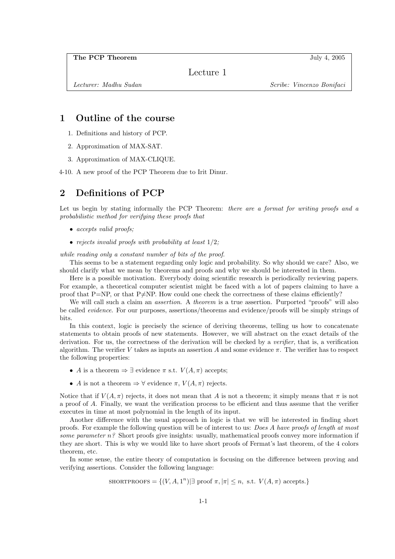Lecture 1

Lecturer: Madhu Sudan Summary Scribe: Vincenzo Bonifaci

## 1 Outline of the course

- 1. Definitions and history of PCP.
- 2. Approximation of MAX-SAT.
- 3. Approximation of MAX-CLIQUE.

4-10. A new proof of the PCP Theorem due to Irit Dinur.

## 2 Definitions of PCP

Let us begin by stating informally the PCP Theorem: *there are a format for writing proofs and a* probabilistic method for verifying these proofs that

- accepts valid proofs;
- rejects invalid proofs with probability at least  $1/2$ ;

while reading only a constant number of bits of the proof.

This seems to be a statement regarding only logic and probability. So why should we care? Also, we should clarify what we mean by theorems and proofs and why we should be interested in them.

Here is a possible motivation. Everybody doing scientific research is periodically reviewing papers. For example, a theoretical computer scientist might be faced with a lot of papers claiming to have a proof that P=NP, or that P $\neq$ NP. How could one check the correctness of these claims efficiently?

We will call such a claim an *assertion.* A *theorem* is a true assertion. Purported "proofs" will also be called evidence. For our purposes, assertions/theorems and evidence/proofs will be simply strings of bits.

In this context, logic is precisely the science of deriving theorems, telling us how to concatenate statements to obtain proofs of new statements. However, we will abstract on the exact details of the derivation. For us, the correctness of the derivation will be checked by a verifier, that is, a verification algorithm. The verifier V takes as inputs an assertion A and some evidence  $\pi$ . The verifier has to respect the following properties:

- A is a theorem  $\Rightarrow \exists$  evidence  $\pi$  s.t.  $V(A, \pi)$  accepts;
- A is not a theorem  $\Rightarrow$   $\forall$  evidence  $\pi$ ,  $V(A,\pi)$  rejects.

Notice that if  $V(A, \pi)$  rejects, it does not mean that A is not a theorem; it simply means that  $\pi$  is not a proof of A. Finally, we want the verification process to be efficient and thus assume that the verifier executes in time at most polynomial in the length of its input.

Another difference with the usual approach in logic is that we will be interested in finding short proofs. For example the following question will be of interest to us: Does A have proofs of length at most some parameter  $n$ ? Short proofs give insights: usually, mathematical proofs convey more information if they are short. This is why we would like to have short proofs of Fermat's last theorem, of the 4 colors theorem, etc.

In some sense, the entire theory of computation is focusing on the difference between proving and verifying assertions. Consider the following language:

$$
SHORTPROOFS = \{(V, A, 1^n) | \exists \text{ proof } \pi, |\pi| \le n, \text{ s.t. } V(A, \pi) \text{ accepts.}\}
$$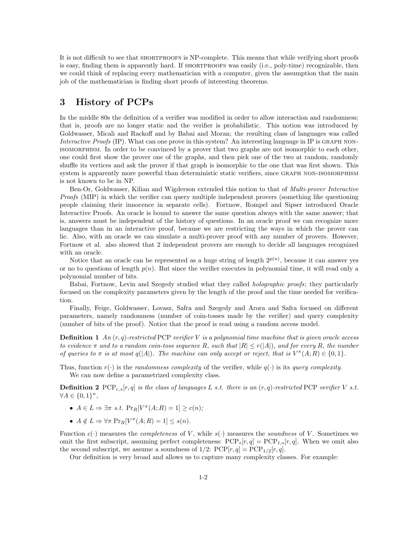It is not difficult to see that SHORTPROOFS is NP-complete. This means that while verifying short proofs is easy, finding them is apparently hard. If SHORTPROOFS was easily (i.e., poly-time) recognizable, then we could think of replacing every mathematician with a computer, given the assumption that the main job of the mathematician is finding short proofs of interesting theorems.

## 3 History of PCPs

In the middle 80s the definition of a verifier was modified in order to allow interaction and randomness; that is, proofs are no longer static and the verifier is probabilistic. This notion was introduced by Goldwasser, Micali and Rackoff and by Babai and Moran; the resulting class of languages was called Interactive Proofs (IP). What can one prove in this system? An interesting language in IP is GRAPH NONisomorphism. In order to be convinced by a prover that two graphs are not isomorphic to each other, one could first show the prover one of the graphs, and then pick one of the two at random, randomly shuffle its vertices and ask the prover if that graph is isomorphic to the one that was first shown. This system is apparently more powerful than deterministic static verifiers, since GRAPH NON-ISOMORPHISM is not known to be in NP.

Ben-Or, Goldwasser, Kilian and Wigderson extended this notion to that of Multi-prover Interactive Proofs (MIP) in which the verifier can query multiple independent provers (something like questioning people claiming their innocence in separate cells). Fortnow, Rompel and Sipser introduced Oracle Interactive Proofs. An oracle is bound to answer the same question always with the same answer; that is, answers must be independent of the history of questions. In an oracle proof we can recognize more languages than in an interactive proof, because we are restricting the ways in which the prover can lie. Also, with an oracle we can simulate a multi-prover proof with any number of provers. However, Fortnow et al. also showed that 2 independent provers are enough to decide all languages recognized with an oracle.

Notice that an oracle can be represented as a huge string of length  $2^{p(n)}$ , because it can answer yes or no to questions of length  $p(n)$ . But since the verifier executes in polynomial time, it will read only a polynomial number of bits.

Babai, Fortnow, Levin and Szegedy studied what they called holographic proofs; they particularly focused on the complexity parameters given by the length of the proof and the time needed for verification.

Finally, Feige, Goldwasser, Lovasz, Safra and Szegedy and Arora and Safra focused on different parameters, namely randomness (number of coin-tosses made by the verifier) and query complexity (number of bits of the proof). Notice that the proof is read using a random access model.

**Definition 1** An  $(r, q)$ -restricted PCP verifier V is a polynomial time machine that is given oracle access to evidence  $\pi$  and to a random coin-toss sequence R, such that  $|R| \le r(|A|)$ , and for every R, the number of queries to  $\pi$  is at most  $q(|A|)$ . The machine can only accept or reject, that is  $V^{\pi}(A;R) \in \{0,1\}$ .

Thus, function  $r(\cdot)$  is the *randomness complexity* of the verifier, while  $q(\cdot)$  is its *guery complexity.* We can now define a parametrized complexity class.

**Definition 2** PCP<sub>c,s</sub> $[r, q]$  is the class of languages L s.t. there is an  $(r, q)$ -restricted PCP verifier V s.t.  $\forall A \in \{0,1\}^n,$ 

- $A \in L \Rightarrow \exists \pi \ s.t. \ \Pr_R[V^{\pi}(A; R) = 1] \ge c(n);$
- $A \notin L \Rightarrow \forall \pi \Pr_R[V^{\pi}(A; R) = 1] \leq s(n).$

Function  $c(\cdot)$  measures the *completeness* of V, while  $s(\cdot)$  measures the *soundness* of V. Sometimes we omit the first subscript, assuming perfect completeness:  $PCP_s[r,q] = PCP_{1,s}[r,q]$ . When we omit also the second subscript, we assume a soundness of  $1/2$ :  $PCP[r, q] = PCP_{1/2}[r, q]$ .

Our definition is very broad and allows us to capture many complexity classes. For example: